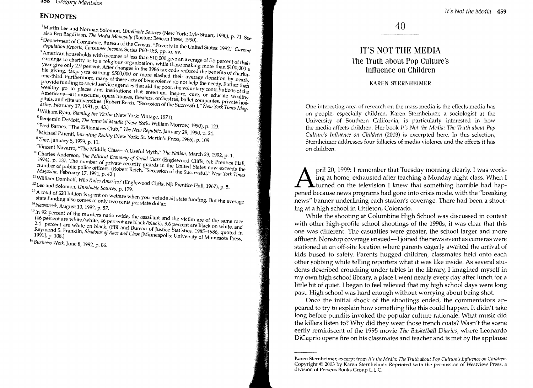### ENDNOTES

also Ben Bagdikian, *The Media Monopoly* (Boston: Beacon Press, 1990), p. 71. See also Ben Bagdikian, *The Media Monopoly* (Boston: Beacon Press, 1990).

2 Department ofCommerce, Bureau of the Census, "Poverty in the United States: 1992," *Current Population Reports, Consumer lncome,* Series P60-185, pp. xi, xv.

 $\frac{3}{2}$  earnings to charity with incomes of less than \$10,000 give an average of 5.5 percent of the incomes  $\epsilon$  are to charity or to a religious organization, while those making more in their vector of their earnings to charity or to a religious organization, while those making more than \$100,000 a<br>year give only 2.9 percent. After changes in the 1986 tax code reduced the benefits of charitable giving, taxpayers earning \$500,000 or more slashed their average donation by nearly one-third. Furthermore, many of these acts of benevolence do not help the needy. Rather than provide funding to social service agencies that aid the poor, the voluntary contributions of the wealthy go to places and institutions that entertain, inspire, cure, or educate wealthy Americans-art museums, opera houses, theaters, orchestras, ballet companies, private hospitals, and elite universities. (Robert Reich, "Secession of the Successful," *New York Times Mag-*

4 William Ryan, *Blaming the Victim* (New York: Vintage, 1971).

5 Benjamin DeMott, *The Imperial Middle* (New York: William Morrow, 1990), p. 123.

6Fred Barnes, "The Zillionaires Club," *Tile New Republic,* January 29,1990, p. 24.

<sup>8</sup>Time, January 5, 1979, p. 10.<br><sup>8</sup>Time, January 5, 1979, p. 10. *p. 10. p. 10. p. 109. p. 109. p. 109. p. 109. p. 109. p. 109. p. 109. p. 109. p. 109. p. 109. p. 109. p. 109. p. 109. p. 10* 

9 Vincent *Navarro,* "The Middle Class-A Useful Myth," *The Nation,* March 23,1992, p. 1.

<sup>10</sup> Charles Anderson, *The Political Economy of Social Class* (Englewood Cliffs, NJ: Prentice Hall, 1974), p. 137. The number of private security guards in the United States now exceeds the number of public police officers. (Robert Reich, "Secession of the Successful," *New York Times* 

<sup>12</sup> Lee and Solomon, *Unreliable Sources*, **p. 179.**<br>
12 Lee and Solomon, *Unreliable Sources*, **p. 179.** 

<sup>13</sup> state funding also comes to only two cents per volume all state funding. But the average state funding also comes to only two cents per state dollar. *14Newsweek,* August 10,1992, p. 57.

(46 percent are white/white, 46 percent are black/black), 5.6 percent are of the same race  $\frac{2.4}{\pi}$  percent are white/white, 46 percent are black/black), 5.6 percent are black on white 2.4 percent are white/white, 46 percent are black/black), 5.6 percent are black on white, and 2.4 percent are white on black. (FBI and Bureau of Justice Statistics, 1985–1986, quoted in Raymond S. Franklin, *Shadows of Race and Class* [Minneapolis: University of Minnesota Press,

*16 Business Week,* June 8, 1992, p. 86.

# 40

# IT'S NOT THE MEDIA The Truth about Pop Culture's Influence on Children

KAREN STERNHEIMER

One interesting area of research on the mass media is the effects media has on people, especially children. Karen Sternheimer, a sociologist at the University of Southern California, is particularly interested in how the media affects children. Her book *It's Not the Media: The Truth about Pop Culture's Influence on Children* (2003) is excerpted here. In this selection, Sternheimer addresses four fallacies of media violence and the effects it has on children.

pril 20, 1999: I remember that Tuesday morning clearly. I was working at home, exhausted after teaching a Monday night class. When<br>turned on the television I knew that something horrible had happened because nows programs ing at home, exhausted after teaching a Monday night class. When I pened because news programs had gone into crisis mode, with the "breaking news" banner underlining each station's coverage. There had been a shooting at a high school in Littleton, Colorado.

While the shooting at Columbine High School was discussed in context with other high-profile school shootings of the 19908, it was clear that this one was different. The casualties were greater, the school larger and more affluent. Nonstop coverage ensued-I joined the news event as cameras were stationed at an off-site location where parents eagerly awaited the arrival of kids bused to safety. Parents hugged children, classmates held onto each other sobbing while telling reporters what it was like inside. As several students described crouching under tables in the library, I imagined myself in my own high school library, a place I went nearly every day after lunch for a little bit of quiet. I began to feel relieved that my high school days were long past. High school was hard enough without worrying about being shot.

Once the initial shock of the shootings ended, the commentators appeared to try to explain how something like this could happen. It didn't take long before pundits invoked the popular culture rationale. What music did the killers listen to? Why did they wear those trench coats? Wasn't the scene eerily reminiscent of the 1995 movie *The Basketball Diaries,* where Leonardo DiCaprio opens fire on his classmates and teacher and is met by the applause

Karen Sternheimcr, excerpt from It's *the Media: The Tmth about Pop Culture's Influence on Children.*  Copyright © 2003 by Karen Sternheimer. Reprinted with the permission of Westview Press, a division of Perseus Books Group L.L.C.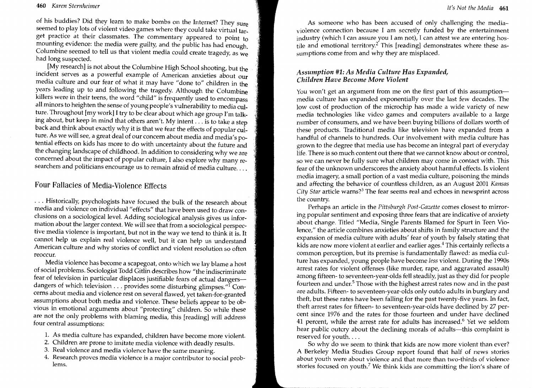#### *460 Karen Sfernheimer*

of his buddies? Did they learn to make bombs on the Internet? They sure seemed to play lots of violent video games where they could take virtual target practice at their classmates. The commentary appeared to point to mounting evidence: the media were guilty, and the public has had enough. Columbine seemed to tell us that violent media could create tragedy, as  $\frac{d}{d}$ had long suspected.

[My research] is not about the Columbine High School shooting, but the incident serves as a powerful example of American anxieties about our media culture and our fear of what it may have "done to" children in the years leading up to and following the tragedy. Although the Columbine killers were in their teens, the word "child" is frequently used to encompass all minors to heighten the sense of young people's vulnerability to media culture. Throughout [my work] I try to be clear about which age group I'm talking about, but keep in mind that others aren't. My intent ... is to take a step back and think about exactly why it is that we fear the effects of popular culture. As we will see, a great deal of our concern about media and media's potential effects on kids has more to do with uncertainty about the future and the changing landscape of childhood. In addition to considering why we are concerned about the impact of popular culture, I also explore why many researchers and politicians encourage us to remain afraid of media culture....

## Four Fallacies of Media-Violence Effects

. . . Historically, psychologists have focused the bulk of the research about media and violence on individual "effects" that have been used to draw conclusions on a sociological level. Adding sociological analysis gives us information about the larger context. We will see that from a sociological perspective media violence is important, but not in the way we tend to think it is. It cannot help us explain real violence well, but it can help us understand American culture and why stories of conflict and violent resolution so often reoccur.

Media violence become a scapegoat, onto which we lay blame a host of social problems. Sociologist Todd Gitlin describes how "the indiscriminate fear of television in particular displaces justifiable fears of actual dangersdangers of which television  $\ldots$  provides some disturbing glimpses."<sup>1</sup> Concerns about media and violence rest on several flawed, yet taken-for-granted assumptions about both media and violence. These beliefs appear to be obvious in emotional arguments about "protecting" children. So while these are not the only problems with blaming media, this [reading] will address four central assumptions:

- 1. As media culture has expanded, children have become more violent.
- 2. Children are prone to imitate media violence with deadly results.
- 3. Real violence and media violence have the same meaning.
- 4. Research proves media violence is a major contributor to social problems.

As someone who has been accused of only challenging the mediaviolence connection because I am secretly funded by the entertainment industry (which I can assure you I am not), I can attest we are entering hostile and emotional territory.<sup>2</sup> This [reading] demonstrates where these assumptions come from and why they are misplaced.

### *Assumption* #1: *As Media Culture Has Expanded, Children Have Become More Violent*

You won't get an argument from me on the first part of this assumptionmedia culture has expanded exponentially over the last few decades. The low cost of production of the microchip has made a wide variety of new media technologies like video games and computers available to a large number of consumers, and we have been buying billions of dollars worth of these products. Traditional media like television have expanded from a handful of channels to hundreds. Our involvement with media culture has grown to the degree that media use has become an integral part of everyday life. There is so much content out there that we cannot know about or control, so we can never be fully sure what children may come in contact with. This fear of the unknown underscores the anxiety about harmful effects. Is violent media imagery, a small portion of a vast media culture, poisoning the minds and affecting the behavior of countless children, as an August 2001 *Kansas City Star* article warns?3 The fear seems real and echoes in newsprint across the country.

Perhaps an article in the *Pittsburgh Post-Gazette* comes closest to mirrorpopular sentiment and exposing three fears that are indicative of anxiety about change. Titled "Media, Single Parents Blamed for Spurt in Teen Violence," the article combines anxieties about shifts in family structure and the expansion of media culture with adults' fear of youth by falsely stating that kids are now more violent at earlier and earlier ages.<sup>4</sup> This certainly reflects a common perception, but its premise is fundamentally flawed: as media culture has expanded, young people have become *less* violent. During the 1990s arrest rates for violent offenses (like murder, rape, and aggravated assault) among fifteen- to seventeen-year-olds fell steadily, just as they did for people fourteen and under.<sup>5</sup> Those with the highest arrest rates now and in the past are adults. Fifteen- to seventeen-year-olds only outdo adults in burglary and theft, but these rates have been falling for the past twenty-five years. In fact, theft arrest rates for fifteen- to seventeen-year-olds have declined by 27 percent since 1976 and the rates for those fourteen and under have declined 41 percent, while the arrest rate for adults has increased.<sup>6</sup> Yet we seldom hear public outcry about the declining morals of adults-this complaint is reserved for youth....

So why do we seem to think that kids are now more violent than ever? A Berkeley Media Studies Group report found that half of news stories about youth were about violence and that more than two-thirds of violence stories focused on youth? We think kids are committing the lion's share of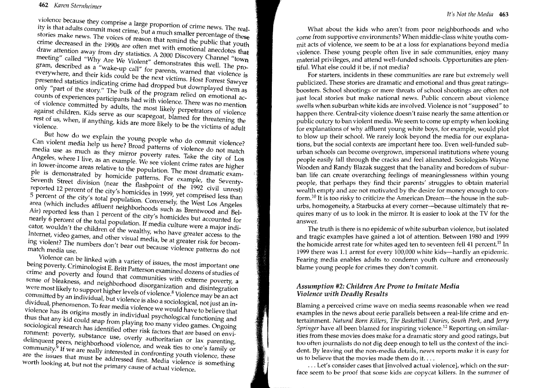### *462 Karen Sternheirner*

violence because they comprise a large proportion of crime news. The reality is that adults commit most crime, but a much smaller percentage of these stories make news. The voices of reason that remind the public that youth crime decreased in the 1990s are often met with emotional anecdotes that draw attention away from dry statistics. A 2000 Discovery Channel "town" meeting" called "Why Are We Violent" demonstrates this well. The program, described as a "wake-up call" for parents, warned that violence is everywhere, and their kids could be the next victims. Host Forrest Sawyer presented statistics indicating crime had dropped but downplayed them as only "part of the story." The bulk of the program relied on emotional accounts of experiences participants had with violence. There was no mention of violence committed by adults, the most likely perpetrators of violence against children. Kids serve as Our scapegoat, blamed for threatening the rest of us, when, if anything, kids are more likely to be the victims of adult

But how do we explain the young people who do commit violence? Can violent media help us here? Broad patterns of violence do not match media use as much as they mirror poverty rates. Take the city of Los Angeles, where I live, as an example. We see violent crime rates are higher in lower-income areas relative to the population. The most dramatic example is demonstrated by homicide patterns. For example, the Seventy-Seventh Street division (near the flashpoint of the 1992 civil unrest) reported 12 percent of the city's homicides in 1999, yet comprised less than 5 percent of the city's total popUlation. Conversely, the West Los Angeles area (which includes affluent neighborhoods such as Brentwood and Bel-Air) reported less than 1 percent of the city's homicides but accounted for nearly 6 percent of the total population. If media culture were a major indicator, wouldn't the children of the wealthy, who have greater access to the Internet, video games, and other visual media, be at greater risk for becoming violent? The numbers don't bear out because violence patterns do not

Violence can be linked with a variety of issues, the most important one being poverty. Criminologist E. Britt Patterson examined dozens of studies of extra and poverty and found that communities with extreme poverty, and see that communities with extreme poverty, and sense of bleakness, and neighborhood disorganization and disintegration were most likely to support higher levels of violence.<sup>8</sup> Violence may be an act committed by an individual, but violence is also a sociological, not just an in dividual, phenomenon. To fear media violence we would have to believe that violence has its origins mostly in individual psychological functioning and thus that any kid could snap from playing too many video games. Ongoing sociological research has identified other risk factors that are based on environment: poverty, substance use, overly authoritarian or lax parenting, delinquent peers, neighborhood violence, and weak ties to one's family or community. $9$  If we are really interested in confronting youth violence, these are the issues that must be addressed first. Media violence is something worth looking at, but not the primary cause of actual violence.

What about the kids who aren't from poor neighborhoods and who come from supportive environments? When middle-class white youths comacts of violence, we seem to be at a loss for explanations beyond media violence. These young people often live in safe communities, enjoy many material privileges, and attend well-funded schools. Opportunities are plentiful. What else could it be, if not media?

For starters, incidents in these communities are rare but extremely well publicized. These stories are dramatic and emotional and thus great ratingsboosters. School shootings or mere threats of school shootings are often not just local stories but make national news. Public concern about violence swells when suburban white kids are involved. Violence is not "supposed" to happen there. Central-city violence doesn't raise nearly the same attention or public outcry to ban violent media. We seem to come up empty when looking for explanations of why affluent young white boys, for example, would plot to blow up their school. We rarely look beyond the media for our explanations, but the social contexts are important here too. Even well-funded suburban schools can become overgrown, impersonal institutions where young people easily fall through the cracks and feel alienated. Sociologists Wayne Wooden and Randy Blazak suggest that the banality and boredom of suburban life can create overarching feelings of meaninglessness within young people, that perhaps they find their parents' struggles to obtain material wealth empty and are not motivated by the desire for money enough to conform.<sup>10</sup> It is too risky to criticize the American Dream—the house in the suburbs, homogeneity, a Starbucks at every corner-because ultimately that requires many of us to look in the mirror. It is easier to look at the TV for the answer.

The truth is there is no epidemic of white suburban violence, but isolated and tragic examples have gained a lot of attention. Between 1980 and 1999 the homicide arrest rate for whites aged ten to seventeen fell 41 percent.<sup>11</sup> In 1999 there was 1.1 arrest for every 100,000 white kids-hardly an epidemic. Fearing media enables adults to condemn youth culture and erroneously blame young people for crimes they don't commit.

### *Assumption* #2: *Children Are Prone to Imitate Media Violence with Deadly Results*

Blaming a perceived crime wave on media seems reasonable when we read examples in the news about eerie parallels between a real-life crime and entertainment. *Natural Born Killers, The Basketball Diaries, South Park,* and *Jerry Springer* have all been blamed for inspiring violence.<sup>12</sup> Reporting on similarities from these movies does make for a dramatic story and good ratings, but too often journalists do not dig deep enough to tell us the context of the incident. By leaving out the non-media details, news reports make it is easy for us to believe that the movies made them do it....

. .. Let's consider cases that [involved actual violencel, which on the surface seem to be proof that some kids are copycat killers. In the summer of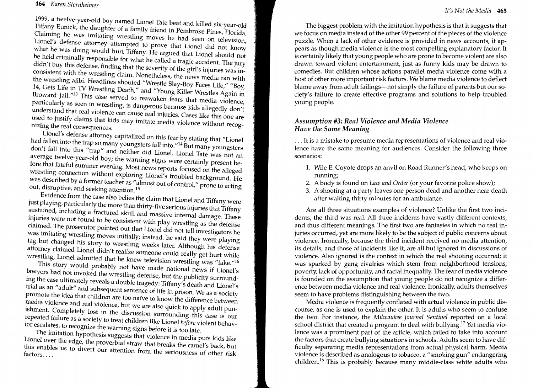1999, a twelve-year-old boy named Lionel Tate beat and killed six-year-old Tiffany Eunick, the daughter of a family friend in Pembroke Pines, florida. Claiming he was imitating wrestling moves he had seen on television, Lionel's defense attorney attempted to prove that Lionel did not know what he was doing would hurt Tiffany. He argued that Lionel should not be held criminally responsible for what he called a tragic accident. The jury didn't buy this defense, finding that the severity of the girl's injuries was inconsistent with the wrestling claim. Nonetheless, the news media ran with the wrestling alibi. Headlines shouted "Wrestle Slay-Boy Faces Life," "Boy, 14, Gets Life in TV Wrestling Death," and "Young Killer Wrestles Again in Broward Jail."<sup>13</sup> This case served to reawaken fears that media violence, particularly as seen in wrestling, is dangerous because kids allegedly don't understand that real violence can cause real injuries. Cases like this one are used to justify claims that kids may imitate media violence without recognizing the real consequences.

Lionel's defense attorney capitalized on this fear by stating that "Lionel had fallen into the trap so many youngsters fall into."<sup>14</sup> But many youngsters don't fall into this "trap" and neither did Lionel. Lionel Tate was not an average twelve-year-old boy; the warning signs were certainly present before that fateful summer evening. Most news reports focused on the alleged wrestling connection without exploring Lionel's troubled background. He was described by a former teacher as "almost out of control," prone to acting out, disruptive, and seeking attention.<sup>15</sup>

Evidence from the case also belies the claim that Lionel and Tiffany were just playing, particularly the more than thirty-five serious injuries that Tiffany sustained, including a fractured skull and massive internal damage. These injuries were not found to be consistent with play wrestling as the defense claimed. The prosecutor pointed out that Lionel did not tell investigators he was imitating wrestling moves initially; instead, he said they were playing tag but changed his story to wrestling weeks later. Although his defense attorney claimed Lionel didn't realize someone could really get hurt while wrestling, Lionel admitted that he knew television wrestling was "fake."<sup>16</sup>

This story would probably not have made national news if Lionel's lawyers had not invoked the wrestling defense, but the publicity surrounding the case ultimately reveals a double tragedy: Tiffany's death and Lionel's trial as an "adult" and subsequent sentence of life in prison. We as a society promote the idea that children are too naïve to know the difference between media violence and real violence, but we are also quick to apply adult punishment. Completely lost in the discussion surrounding this case is our repeated failure as a society to treat children like Lionel *before* violent behavior escalates, to recognize the warning signs before it is too late.

The imitation hypothesis suggests that violence in media puts kids like Lionel over the edge, the proverbial straw that breaks the camel's back, but this enables us to divert our attention from the seriousness of other risk factors....

The biggest problem with the imitation hypothesis is that it suggests that we focus on media instead of the other 99 percent of the pieces of the violence puzzle. When a lack of other evidence is provided in news accounts, it appears as though media violence is the most compelling explanatory factor. It is certainly likely that young people who are prone to become violent are also drawn toward violent entertainment, just as funny kids may be drawn to comedies. But children whose actions parallel media violence come with a host of other more important risk factors. We blame media violence to deflect blame away from adult failings—not simply the failure of parents but our society's failure to create effective programs and solutions to help troubled young people.

### *Assumption* #3: *Real Violence and Media Violence Have the Same Meaning*

... It is a mistake to presume media representations of violence and real violence have the same meaning for audiences. Consider the following three scenarios:

- 1. Wile E. Coyote drops an anvil on Road Runner's head, who keeps on running;
- 2. A body is found on *Law and Order* (or your favorite police show);
- 3. A shooting at a party leaves one person dead and another near death after waiting thirty minutes for an ambulance.

Are all three situations examples of violence? Unlike the first two incidents, the third was real. All three incidents have vastly different contexts, and thus different meanings. The first two are fantasies in which no real injuries occurred, yet are more likely to be the subject of public concerns about violence. Ironically, because the third incident received no media attention, its details, and those of incidents like it, are all but ignored in discussions of violence. Also ignored is the context in which the real shooting occurred; it was sparked by gang rivalries which stem from neighborhood tensions, poverty, lack of opportunity, and racial inequality. The fear of media violence is founded on the assumption that young people do not recognize a difference between media violence and real violence. Ironically, adults themselves seem to have problems distinguishing between the two.

Media violence is frequently conflated with actual violence in public discourse, as one is used to explain the other. It is adults who seem to confuse the two. For instance, the *Milwaukee Journal Sentinel* reported on a local school district that created a program to deal with bullying.<sup>17</sup> Yet media violence was a prominent part of the article, which failed to take into account the factors that create bullying situations in schools. Adults seem to have difficulty separating media representations from actual physical harm. Media violence is described as analogous to tobacco, a "smoking gun" endangering children.<sup>18</sup> This is probably because many middle-class white adults who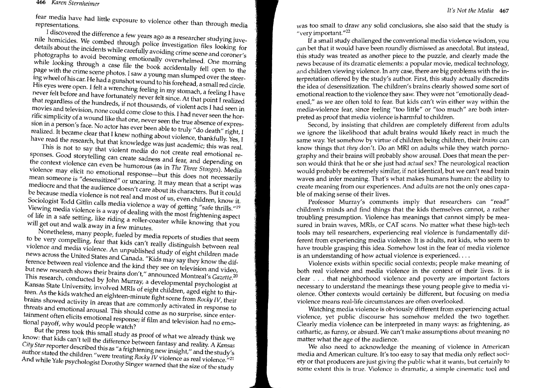fear media have had little exposure to violence other than through media

I discovered the difference a few years ago as a researcher studying juvenile homicides. We combed through police investigation files looking for details about the incidents while carefully avoiding crime scene and coroner's photographs to avoid becoming emotionally overwhelmed. One morning while looking through a case file the book accidentally fell open to the page with the crime scene photos. I saw a young man slumped over the steering wheel of his car. He had a gunshot wound to his forehead, a small red circle. His eyes were open. I felt a wrenching feeling in my stomach, a feeling I have never felt before and have fortunately never felt since. At that point I realized that regardless of the hundreds, if not thousands, of violent acts I had seen in movies and television, none could come close to this. I had never seen the horrific simplicity of a wound like that one, never seen the true absence of expression in a person's face. No actor has ever been able to truly "do death" right, I realized. It became clear that I knew nothing about violence, thankfully. Yes, I have read the research, but that knowledge was just academic; this was real.

This is not to say that violent media do not create real emotional responses. Good storytelling can create sadness and fear, and depending on the context violence can even be humorous (as in *The Three Stooges).* Media violence may elicit no emotional response—but this does not necessarily mean someone is "desensitized" or uncaring. It may mean that a script was mediocre and that the audience doesn't care about its characters. But it could be because media violence is not real and most of us, even children, know it. Sociologist Todd Gitlin calls media violence a way of getting "safe thrills."<sup>19</sup> Viewing media violence is a way of dealing with the most frightening aspect of life in a safe setting, like riding a roller-coaster while knowing that you will get out and walk away in a few minutes.

Nonetheless, many people, fueled by media reports of studies that seem to be very compelling, fear that kids can't really distinguish between real violence and media violence. An unpublished study of eight children made news across the United States and Canada. "Kids may say they know the difference between real violence and the kind they see on television and video, but new research shows their brains don't," announced Montreal's *Gazette.20*  This research, conducted by John Murray, a developmental psychologist at Kansas State University, involved MRls of eight children, aged eight to thirteen. As the kids watched an eighteen-minute fight scene from *Rocky IV,* their brains showed activity in areas that are commonly activated in response to threats and emotional arousal. This should come as no surprise, since entertainment often elicits emotional response; if film and television had no emotional payoff, why would people watch?

But the press took this small study as proof of What we already think we know: that kids can't tell the difference between fantasy and reality. A *Kansas*  City Star reporter described this as "a frightening new insight," and the study's author stated the children "were treating *Rocky IV* violence as real violence.<sup>"21</sup> And while Yale psychologist Dorothy Singer warned that the size of the study

was too small to draw any solid conclusions, she also said that the study is "very important." $^{22}$ 

If a small study challenged the conventional media violence wisdom, you can bet that it would have been roundly dismissed as anecdotal. But instead, this study was treated as another piece to the puzzle, and dearly made the news because of its dramatic elements: a popular movie, medical technology, and children viewing violence. In any case, there are big problems with the interpretation offered by the study's author. First, this study actually discredits the idea of desensitization. The children's brains clearly showed some sort of emotional reaction to the violence they saw. They were not "emotionally deadened," as we are often told to fear. But kids can't win either way within the media-violence fear, since feeling "too little" or "too much" are both interpreted as proof that media violence is harmful to children.

Second, by insisting that children are completely different from adults we ignore the likelihood that adult brains would likely react in much the same way. Yet somehow by virtue of children being children, their *brains* can know things that *they* don't. Do an MRl on adults while they watch pornography and their brains will probably show arousal. Does that mean the person would think that he or she just had *actual* sex? The neurological reaction would probably be extremely similar, if not identical, but we can't read brain waves and infer meaning. That's what makes humans human: the ability to create meaning from our experiences. And adults are not the only ones capable of making sense of their lives.

Professor Murray's comments imply that researchers can "read" children's minds and find things that the kids themselves cannot, a rather troubling presumption. Violence has meanings that cannot simply be measured in brain waves, MRls, or CAT scans. No matter what these high-tech tools may tell researchers, experiencing real violence is fundamentally different from experiencing media violence. It is adults, not kids, who seem to have trouble grasping this idea. Somehow lost in the fear of media violence is an understanding of how actual violence is experienced....

Violence exists within specific social contexts; people make meaning of both real violence and media violence in the context of their lives. It is clear . . . that neighborhood violence and poverty are important factors necessary to understand the meanings these young people give to media violence. Other contexts would certainly be different, but focusing on media violence means real-life circumstances are often overlooked.

Watching media violence is obviously different from experiencing actual violence, yet public discourse has somehow melded the two together. Clearly media violence can be interpreted in many ways: as frightening, as cathartic, as funny, or absurd. We can't make assumptions about meaning no matter what the age of the audience.

We also need to acknowledge the meaning of violence in American media and American culture. It's too easy to say that media only reflect society or that producers are just giving the public what it wants, but certainly to some extent this is true. Violence is dramatic, a simple cinematic tool and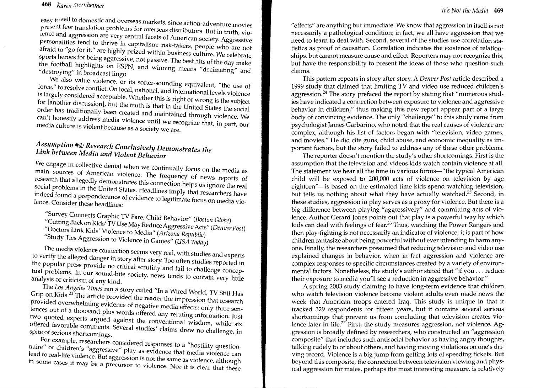### *468 Karen stemheimer*

easy *to* sell to domestic and overseas markets, since action-adventure movies present few translation problems for overseas distributors. But in truth, violence and aggression are very central facets of American society. Aggressive personalities tend to thrive in capitalism: risk-takers, people who are not afraid to "go for it," are highly prized within business culture. We celebrate sports heroes for being aggressive, not passive. The best hits of the day make the football highlights on ESPN, and winning means "decimating" and "destroying" in broadcast lingo.

We also value violence, or its softer-sounding equivalent, "the use of force," to resolve conflict. On local, national, and international levels violence is largely considered acceptable. Whether this is right or wrong is the subject for [another discussion], but the truth is that in the United States the social order has traditionally been created and maintained through violence. We can't honestly address media violence until we recognize that, in part, our media culture is violent because as a society we are.

# *Assumption* #4: *Research Conclusively Demonstrates the Link between Media and Violent Behavior*

We engage in collective denial when we continually focus on the media as main sources of American violence. The frequency of news reports of research that allegedly demonstrates this connection helps us ignore the real social problems in the United States. Headlines imply that researchers have indeed found a preponderance of evidence to legitimate focus on media violence. Consider these headlines:

"Survey Connects GraphiC TV Fare, Child Behavior" *(Boston Globe)*  "Cutting Back on Kids' TV UseMayReduce Aggressi ve Acts" *(Denver Post)*  "Doctors Link Kids' Violence to Media" (Arizona Republic) "Study Ties Aggression to Violence in Games" *(USA Today)* 

The media violence connection seems very real, with studies and experts to verify the alleged danger in story after story. Too often studies reported in the popular press provide no critical scrutiny and fail to challenge concept tual problems. In our sound-bite society, news tends to contain very little analysis or criticism of any kind.

The *Los Angeles Times* ran a story called "In a Wired World, TV Still Has <sup>23</sup> Grip on Kids.<sup>23</sup> The article provided the reader the impression that research provided overwhelming evidence of negative media effects: only three sentences out of a thousand-plus words offered any refuting information. Just two quoted experts argued against the conventional wisdom, while six offered favorable comments. Several studies' claims drew no challenge, in spite of serious shortcomings.

For example, researchers considered responses to a "hostility questionnaire" or children's "aggressive" play as evidence that media violence can lead to real-life violence. But aggression is not the same as violence, although in some cases it may be a precursor to violence. Nor it is clear that these

"effects" are anything but immediate. We know that aggression in itself is not necessarily a pathological condition; in fact, we all have aggression that we need to learn to deal with. Second, several of the studies use correlation statistics as proof of causation. Correlation indicates the existence of relationships, but cannot measure cause and effect. Reporters may not recognize this, but have the responsibility to present the ideas of those who question such claims.

This pattern repeats in story after story. A *Denver Post* article described a 1999 study that claimed that limiting TV and video use reduced children's aggression.<sup>24</sup> The story prefaced the report by stating that "numerous studies have indicated a connection between exposure to violence and aggressive behavior in children," thus making this new report appear part of a large body of convincing evidence. The only "challenge" to this study came from psychologist James Garbarino, who noted that the real causes of violence are complex, although his list of factors began with "television, video games, and movies." He did cite guns, child abuse, and economic inequality as important factors, but the story failed to address any of these other problems.

The reporter doesn't mention the study's other shortcomings. First is the assumption that the television and videos kids watch contain violence at all. The statement we hear all the time in various forms-'the typical American child will be exposed to 200,000 acts of violence on television by age eighteen"-is based on the estimated time kids spend watching television, but tells us nothing about what they have actually watched.<sup>25</sup> Second, in these studies, aggression in play serves as a proxy for violence. But there is a big difference between playing "aggressively" and committing acts of violence. Author Gerard Jones points out that play is a powerful way by which kids can deal with feelings of fear.<sup>26</sup> Thus, watching the Power Rangers and then play-fighting is not necessarily an indicator of violence; it is part of how children fantasize about being powerful without ever intending to harm anyone, Finally, the researchers presumed that reducing television and video use explained changes in behavior, when in fact aggression and violence are complex responses to specific circumstances created by a variety of environmental factors. Nonetheless, the study's author stated that "if you . . . reduce their exposure to media you'll see a reduction in aggressive behavior."

A spring 2003 study claiming to have long-term evidence that children who watch television violence become violent adults even made news the week that American troops entered Iraq. This study is unique in that it tracked 329 respondents for fifteen years, but it contains several serious shortcomings that prevent us from concluding that television creates violence later in life.<sup>27</sup> First, the study measures aggression, not violence. Aggression is broadly defined by researchers, who constructed an "aggression composite" that includes such antisocial behavior as having angry thoughts, talking rudely to or about others, and having moving violations on one's driving record. Violence is a big jump from getting lots of speeding tickets. But beyond this composite, the connection between television viewing and physical aggression for males, perhaps the most interesting measure, is relatively